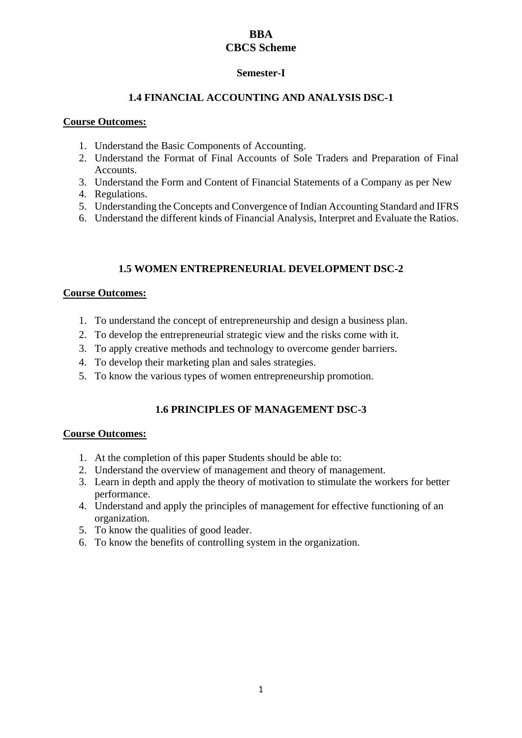### **Semester-I**

## **1.4 FINANCIAL ACCOUNTING AND ANALYSIS DSC-1**

### **Course Outcomes:**

- 1. Understand the Basic Components of Accounting.
- 2. Understand the Format of Final Accounts of Sole Traders and Preparation of Final Accounts.
- 3. Understand the Form and Content of Financial Statements of a Company as per New
- 4. Regulations.
- 5. Understanding the Concepts and Convergence of Indian Accounting Standard and IFRS
- 6. Understand the different kinds of Financial Analysis, Interpret and Evaluate the Ratios.

## **1.5 WOMEN ENTREPRENEURIAL DEVELOPMENT DSC-2**

### **Course Outcomes:**

- 1. To understand the concept of entrepreneurship and design a business plan.
- 2. To develop the entrepreneurial strategic view and the risks come with it.
- 3. To apply creative methods and technology to overcome gender barriers.
- 4. To develop their marketing plan and sales strategies.
- 5. To know the various types of women entrepreneurship promotion.

# **1.6 PRINCIPLES OF MANAGEMENT DSC-3**

- 1. At the completion of this paper Students should be able to:
- 2. Understand the overview of management and theory of management.
- 3. Learn in depth and apply the theory of motivation to stimulate the workers for better performance.
- 4. Understand and apply the principles of management for effective functioning of an organization.
- 5. To know the qualities of good leader.
- 6. To know the benefits of controlling system in the organization.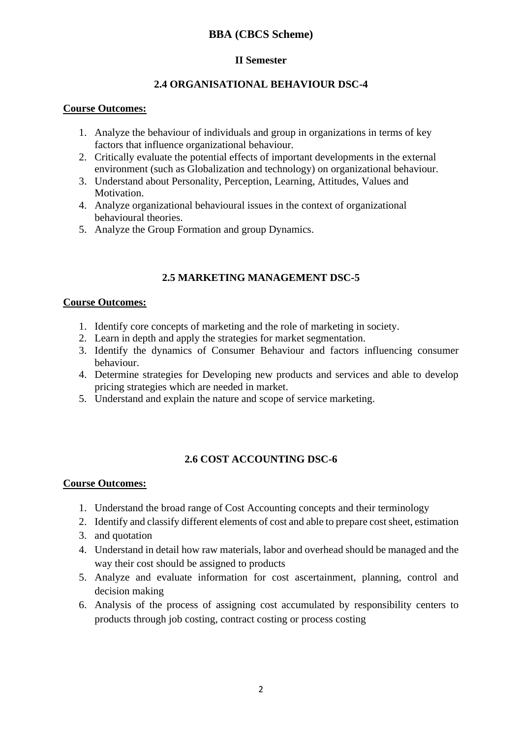## **II Semester**

# **2.4 ORGANISATIONAL BEHAVIOUR DSC-4**

### **Course Outcomes:**

- 1. Analyze the behaviour of individuals and group in organizations in terms of key factors that influence organizational behaviour.
- 2. Critically evaluate the potential effects of important developments in the external environment (such as Globalization and technology) on organizational behaviour.
- 3. Understand about Personality, Perception, Learning, Attitudes, Values and Motivation.
- 4. Analyze organizational behavioural issues in the context of organizational behavioural theories.
- 5. Analyze the Group Formation and group Dynamics.

# **2.5 MARKETING MANAGEMENT DSC-5**

### **Course Outcomes:**

- 1. Identify core concepts of marketing and the role of marketing in society.
- 2. Learn in depth and apply the strategies for market segmentation.
- 3. Identify the dynamics of Consumer Behaviour and factors influencing consumer behaviour.
- 4. Determine strategies for Developing new products and services and able to develop pricing strategies which are needed in market.
- 5. Understand and explain the nature and scope of service marketing.

# **2.6 COST ACCOUNTING DSC-6**

- 1. Understand the broad range of Cost Accounting concepts and their terminology
- 2. Identify and classify different elements of cost and able to prepare cost sheet, estimation
- 3. and quotation
- 4. Understand in detail how raw materials, labor and overhead should be managed and the way their cost should be assigned to products
- 5. Analyze and evaluate information for cost ascertainment, planning, control and decision making
- 6. Analysis of the process of assigning cost accumulated by responsibility centers to products through job costing, contract costing or process costing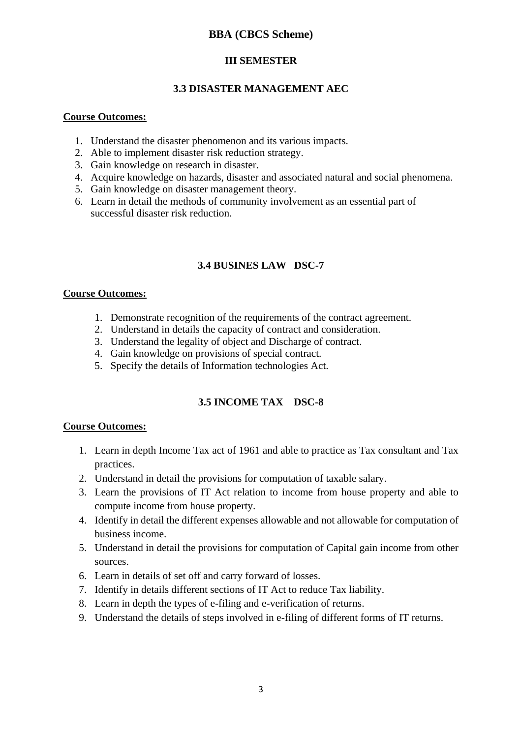# **III SEMESTER**

## **3.3 DISASTER MANAGEMENT AEC**

### **Course Outcomes:**

- 1. Understand the disaster phenomenon and its various impacts.
- 2. Able to implement disaster risk reduction strategy.
- 3. Gain knowledge on research in disaster.
- 4. Acquire knowledge on hazards, disaster and associated natural and social phenomena.
- 5. Gain knowledge on disaster management theory.
- 6. Learn in detail the methods of community involvement as an essential part of successful disaster risk reduction.

# **3.4 BUSINES LAW DSC-7**

### **Course Outcomes:**

- 1. Demonstrate recognition of the requirements of the contract agreement.
- 2. Understand in details the capacity of contract and consideration.
- 3. Understand the legality of object and Discharge of contract.
- 4. Gain knowledge on provisions of special contract.
- 5. Specify the details of Information technologies Act.

# **3.5 INCOME TAX DSC-8**

- 1. Learn in depth Income Tax act of 1961 and able to practice as Tax consultant and Tax practices.
- 2. Understand in detail the provisions for computation of taxable salary.
- 3. Learn the provisions of IT Act relation to income from house property and able to compute income from house property.
- 4. Identify in detail the different expenses allowable and not allowable for computation of business income.
- 5. Understand in detail the provisions for computation of Capital gain income from other sources.
- 6. Learn in details of set off and carry forward of losses.
- 7. Identify in details different sections of IT Act to reduce Tax liability.
- 8. Learn in depth the types of e-filing and e-verification of returns.
- 9. Understand the details of steps involved in e-filing of different forms of IT returns.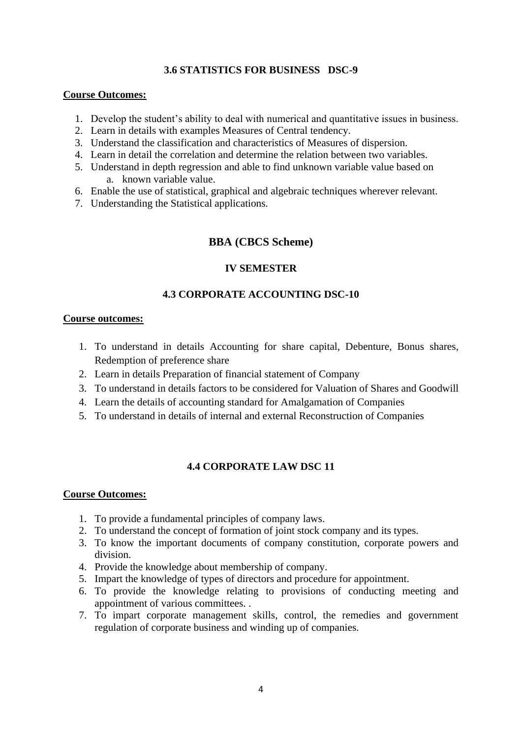## **3.6 STATISTICS FOR BUSINESS DSC-9**

#### **Course Outcomes:**

- 1. Develop the student's ability to deal with numerical and quantitative issues in business.
- 2. Learn in details with examples Measures of Central tendency.
- 3. Understand the classification and characteristics of Measures of dispersion.
- 4. Learn in detail the correlation and determine the relation between two variables.
- 5. Understand in depth regression and able to find unknown variable value based on a. known variable value.
- 6. Enable the use of statistical, graphical and algebraic techniques wherever relevant.
- 7. Understanding the Statistical applications.

# **BBA (CBCS Scheme)**

### **IV SEMESTER**

## **4.3 CORPORATE ACCOUNTING DSC-10**

### **Course outcomes:**

- 1. To understand in details Accounting for share capital, Debenture, Bonus shares, Redemption of preference share
- 2. Learn in details Preparation of financial statement of Company
- 3. To understand in details factors to be considered for Valuation of Shares and Goodwill
- 4. Learn the details of accounting standard for Amalgamation of Companies
- 5. To understand in details of internal and external Reconstruction of Companies

# **4.4 CORPORATE LAW DSC 11**

- 1. To provide a fundamental principles of company laws.
- 2. To understand the concept of formation of joint stock company and its types.
- 3. To know the important documents of company constitution, corporate powers and division.
- 4. Provide the knowledge about membership of company.
- 5. Impart the knowledge of types of directors and procedure for appointment.
- 6. To provide the knowledge relating to provisions of conducting meeting and appointment of various committees. .
- 7. To impart corporate management skills, control, the remedies and government regulation of corporate business and winding up of companies.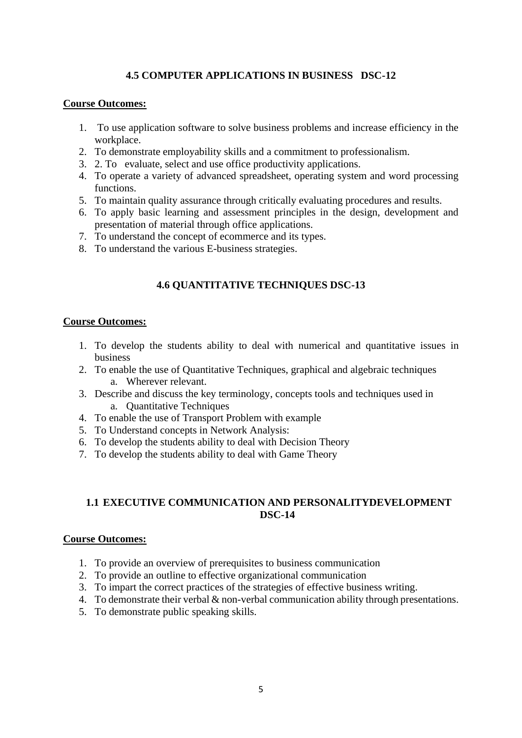# **4.5 COMPUTER APPLICATIONS IN BUSINESS DSC-12**

#### **Course Outcomes:**

- 1. To use application software to solve business problems and increase efficiency in the workplace.
- 2. To demonstrate employability skills and a commitment to professionalism.
- 3. 2. To evaluate, select and use office productivity applications.
- 4. To operate a variety of advanced spreadsheet, operating system and word processing functions.
- 5. To maintain quality assurance through critically evaluating procedures and results.
- 6. To apply basic learning and assessment principles in the design, development and presentation of material through office applications.
- 7. To understand the concept of ecommerce and its types.
- 8. To understand the various E-business strategies.

## **4.6 QUANTITATIVE TECHNIQUES DSC-13**

### **Course Outcomes:**

- 1. To develop the students ability to deal with numerical and quantitative issues in business
- 2. To enable the use of Quantitative Techniques, graphical and algebraic techniques a. Wherever relevant.
- 3. Describe and discuss the key terminology, concepts tools and techniques used in a. Quantitative Techniques
- 4. To enable the use of Transport Problem with example
- 5. To Understand concepts in Network Analysis:
- 6. To develop the students ability to deal with Decision Theory
- 7. To develop the students ability to deal with Game Theory

## **1.1 EXECUTIVE COMMUNICATION AND PERSONALITYDEVELOPMENT DSC-14**

- 1. To provide an overview of prerequisites to business communication
- 2. To provide an outline to effective organizational communication
- 3. To impart the correct practices of the strategies of effective business writing.
- 4. To demonstrate their verbal & non-verbal communication ability through presentations.
- 5. To demonstrate public speaking skills.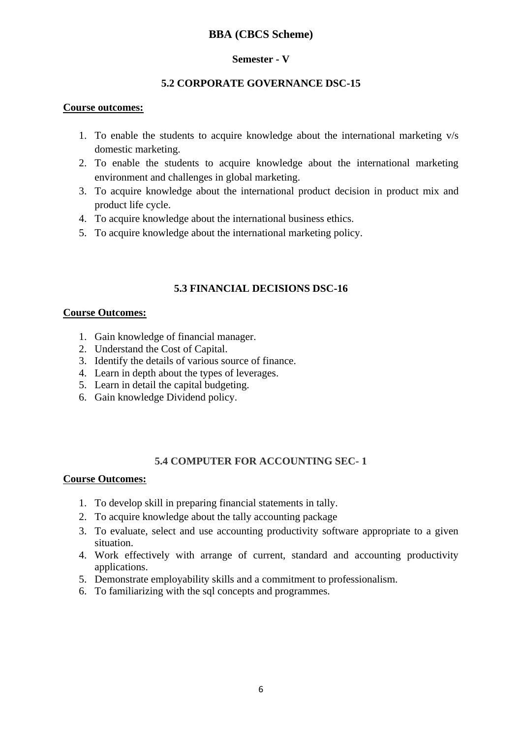## **Semester - V**

## **5.2 CORPORATE GOVERNANCE DSC-15**

#### **Course outcomes:**

- 1. To enable the students to acquire knowledge about the international marketing v/s domestic marketing.
- 2. To enable the students to acquire knowledge about the international marketing environment and challenges in global marketing.
- 3. To acquire knowledge about the international product decision in product mix and product life cycle.
- 4. To acquire knowledge about the international business ethics.
- 5. To acquire knowledge about the international marketing policy.

## **5.3 FINANCIAL DECISIONS DSC-16**

## **Course Outcomes:**

- 1. Gain knowledge of financial manager.
- 2. Understand the Cost of Capital.
- 3. Identify the details of various source of finance.
- 4. Learn in depth about the types of leverages.
- 5. Learn in detail the capital budgeting.
- 6. Gain knowledge Dividend policy.

## **5.4 COMPUTER FOR ACCOUNTING SEC- 1**

- 1. To develop skill in preparing financial statements in tally.
- 2. To acquire knowledge about the tally accounting package
- 3. To evaluate, select and use accounting productivity software appropriate to a given situation.
- 4. Work effectively with arrange of current, standard and accounting productivity applications.
- 5. Demonstrate employability skills and a commitment to professionalism.
- 6. To familiarizing with the sql concepts and programmes.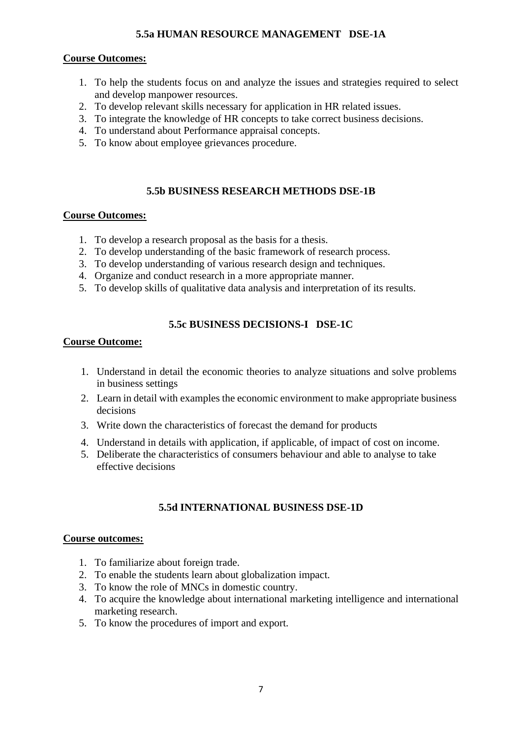## **5.5a HUMAN RESOURCE MANAGEMENT DSE-1A**

### **Course Outcomes:**

- 1. To help the students focus on and analyze the issues and strategies required to select and develop manpower resources.
- 2. To develop relevant skills necessary for application in HR related issues.
- 3. To integrate the knowledge of HR concepts to take correct business decisions.
- 4. To understand about Performance appraisal concepts.
- 5. To know about employee grievances procedure.

## **5.5b BUSINESS RESEARCH METHODS DSE-1B**

### **Course Outcomes:**

- 1. To develop a research proposal as the basis for a thesis.
- 2. To develop understanding of the basic framework of research process.
- 3. To develop understanding of various research design and techniques.
- 4. Organize and conduct research in a more appropriate manner.
- 5. To develop skills of qualitative data analysis and interpretation of its results.

## **5.5c BUSINESS DECISIONS-I DSE-1C**

#### **Course Outcome:**

- 1. Understand in detail the economic theories to analyze situations and solve problems in business settings
- 2. Learn in detail with examples the economic environment to make appropriate business decisions
- 3. Write down the characteristics of forecast the demand for products
- 4. Understand in details with application, if applicable, of impact of cost on income.
- 5. Deliberate the characteristics of consumers behaviour and able to analyse to take effective decisions

## **5.5d INTERNATIONAL BUSINESS DSE-1D**

- 1. To familiarize about foreign trade.
- 2. To enable the students learn about globalization impact.
- 3. To know the role of MNCs in domestic country.
- 4. To acquire the knowledge about international marketing intelligence and international marketing research.
- 5. To know the procedures of import and export.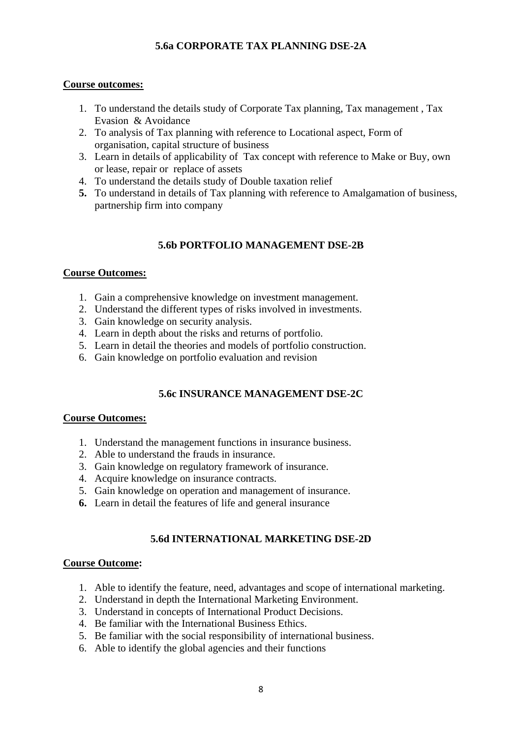## **5.6a CORPORATE TAX PLANNING DSE-2A**

#### **Course outcomes:**

- 1. To understand the details study of Corporate Tax planning, Tax management , Tax Evasion & Avoidance
- 2. To analysis of Tax planning with reference to Locational aspect, Form of organisation, capital structure of business
- 3. Learn in details of applicability of Tax concept with reference to Make or Buy, own or lease, repair or replace of assets
- 4. To understand the details study of Double taxation relief
- **5.** To understand in details of Tax planning with reference to Amalgamation of business, partnership firm into company

## **5.6b PORTFOLIO MANAGEMENT DSE-2B**

#### **Course Outcomes:**

- 1. Gain a comprehensive knowledge on investment management.
- 2. Understand the different types of risks involved in investments.
- 3. Gain knowledge on security analysis.
- 4. Learn in depth about the risks and returns of portfolio.
- 5. Learn in detail the theories and models of portfolio construction.
- 6. Gain knowledge on portfolio evaluation and revision

# **5.6c INSURANCE MANAGEMENT DSE-2C**

#### **Course Outcomes:**

- 1. Understand the management functions in insurance business.
- 2. Able to understand the frauds in insurance.
- 3. Gain knowledge on regulatory framework of insurance.
- 4. Acquire knowledge on insurance contracts.
- 5. Gain knowledge on operation and management of insurance.
- **6.** Learn in detail the features of life and general insurance

# **5.6d INTERNATIONAL MARKETING DSE-2D**

- 1. Able to identify the feature, need, advantages and scope of international marketing.
- 2. Understand in depth the International Marketing Environment.
- 3. Understand in concepts of International Product Decisions.
- 4. Be familiar with the International Business Ethics.
- 5. Be familiar with the social responsibility of international business.
- 6. Able to identify the global agencies and their functions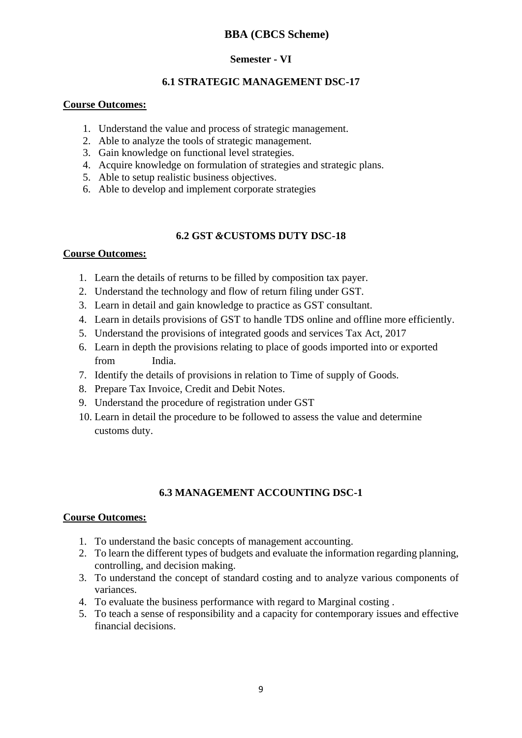## **Semester - VI**

## **6.1 STRATEGIC MANAGEMENT DSC-17**

### **Course Outcomes:**

- 1. Understand the value and process of strategic management.
- 2. Able to analyze the tools of strategic management.
- 3. Gain knowledge on functional level strategies.
- 4. Acquire knowledge on formulation of strategies and strategic plans.
- 5. Able to setup realistic business objectives.
- 6. Able to develop and implement corporate strategies

## **6.2 GST** *&***CUSTOMS DUTY DSC-18**

### **Course Outcomes:**

- 1. Learn the details of returns to be filled by composition tax payer.
- 2. Understand the technology and flow of return filing under GST.
- 3. Learn in detail and gain knowledge to practice as GST consultant.
- 4. Learn in details provisions of GST to handle TDS online and offline more efficiently.
- 5. Understand the provisions of integrated goods and services Tax Act, 2017
- 6. Learn in depth the provisions relating to place of goods imported into or exported from India.
- 7. Identify the details of provisions in relation to Time of supply of Goods.
- 8. Prepare Tax Invoice, Credit and Debit Notes.
- 9. Understand the procedure of registration under GST
- 10. Learn in detail the procedure to be followed to assess the value and determine customs duty.

## **6.3 MANAGEMENT ACCOUNTING DSC-1**

- 1. To understand the basic concepts of management accounting.
- 2. To learn the different types of budgets and evaluate the information regarding planning, controlling, and decision making.
- 3. To understand the concept of standard costing and to analyze various components of variances.
- 4. To evaluate the business performance with regard to Marginal costing .
- 5. To teach a sense of responsibility and a capacity for contemporary issues and effective financial decisions.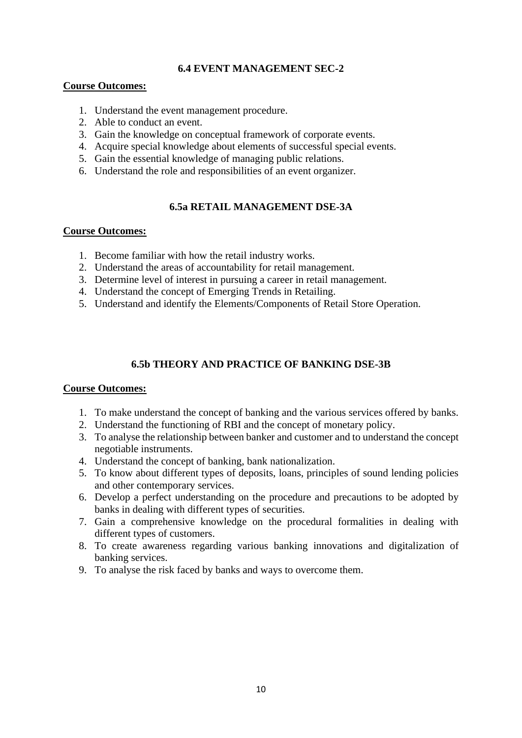### **6.4 EVENT MANAGEMENT SEC-2**

#### **Course Outcomes:**

- 1. Understand the event management procedure.
- 2. Able to conduct an event.
- 3. Gain the knowledge on conceptual framework of corporate events.
- 4. Acquire special knowledge about elements of successful special events.
- 5. Gain the essential knowledge of managing public relations.
- 6. Understand the role and responsibilities of an event organizer.

## **6.5a RETAIL MANAGEMENT DSE-3A**

### **Course Outcomes:**

- 1. Become familiar with how the retail industry works.
- 2. Understand the areas of accountability for retail management.
- 3. Determine level of interest in pursuing a career in retail management.
- 4. Understand the concept of Emerging Trends in Retailing.
- 5. Understand and identify the Elements/Components of Retail Store Operation.

## **6.5b THEORY AND PRACTICE OF BANKING DSE-3B**

- 1. To make understand the concept of banking and the various services offered by banks.
- 2. Understand the functioning of RBI and the concept of monetary policy.
- 3. To analyse the relationship between banker and customer and to understand the concept negotiable instruments.
- 4. Understand the concept of banking, bank nationalization.
- 5. To know about different types of deposits, loans, principles of sound lending policies and other contemporary services.
- 6. Develop a perfect understanding on the procedure and precautions to be adopted by banks in dealing with different types of securities.
- 7. Gain a comprehensive knowledge on the procedural formalities in dealing with different types of customers.
- 8. To create awareness regarding various banking innovations and digitalization of banking services.
- 9. To analyse the risk faced by banks and ways to overcome them.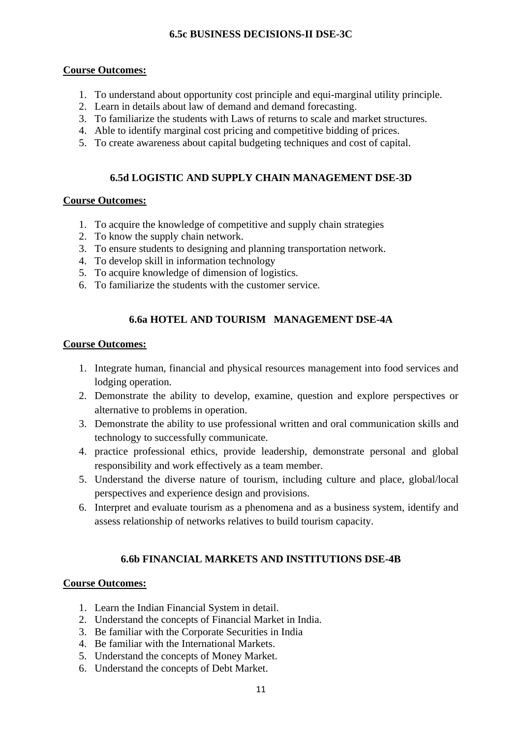## **6.5c BUSINESS DECISIONS-II DSE-3C**

### **Course Outcomes:**

- 1. To understand about opportunity cost principle and equi-marginal utility principle.
- 2. Learn in details about law of demand and demand forecasting.
- 3. To familiarize the students with Laws of returns to scale and market structures.
- 4. Able to identify marginal cost pricing and competitive bidding of prices.
- 5. To create awareness about capital budgeting techniques and cost of capital.

# **6.5d LOGISTIC AND SUPPLY CHAIN MANAGEMENT DSE-3D**

## **Course Outcomes:**

- 1. To acquire the knowledge of competitive and supply chain strategies
- 2. To know the supply chain network.
- 3. To ensure students to designing and planning transportation network.
- 4. To develop skill in information technology
- 5. To acquire knowledge of dimension of logistics.
- 6. To familiarize the students with the customer service.

# **6.6a HOTEL AND TOURISM MANAGEMENT DSE-4A**

## **Course Outcomes:**

- 1. Integrate human, financial and physical resources management into food services and lodging operation.
- 2. Demonstrate the ability to develop, examine, question and explore perspectives or alternative to problems in operation.
- 3. Demonstrate the ability to use professional written and oral communication skills and technology to successfully communicate.
- 4. practice professional ethics, provide leadership, demonstrate personal and global responsibility and work effectively as a team member.
- 5. Understand the diverse nature of tourism, including culture and place, global/local perspectives and experience design and provisions.
- 6. Interpret and evaluate tourism as a phenomena and as a business system, identify and assess relationship of networks relatives to build tourism capacity.

# **6.6b FINANCIAL MARKETS AND INSTITUTIONS DSE-4B**

- 1. Learn the Indian Financial System in detail.
- 2. Understand the concepts of Financial Market in India.
- 3. Be familiar with the Corporate Securities in India
- 4. Be familiar with the International Markets.
- 5. Understand the concepts of Money Market.
- 6. Understand the concepts of Debt Market.